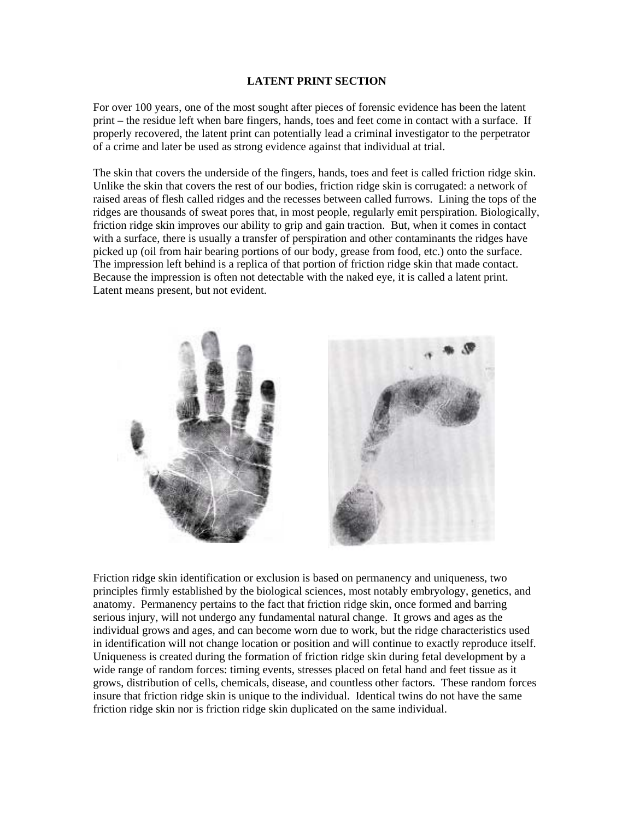## **LATENT PRINT SECTION**

For over 100 years, one of the most sought after pieces of forensic evidence has been the latent print – the residue left when bare fingers, hands, toes and feet come in contact with a surface. If properly recovered, the latent print can potentially lead a criminal investigator to the perpetrator of a crime and later be used as strong evidence against that individual at trial.

The skin that covers the underside of the fingers, hands, toes and feet is called friction ridge skin. Unlike the skin that covers the rest of our bodies, friction ridge skin is corrugated: a network of raised areas of flesh called ridges and the recesses between called furrows. Lining the tops of the ridges are thousands of sweat pores that, in most people, regularly emit perspiration. Biologically, friction ridge skin improves our ability to grip and gain traction. But, when it comes in contact with a surface, there is usually a transfer of perspiration and other contaminants the ridges have picked up (oil from hair bearing portions of our body, grease from food, etc.) onto the surface. The impression left behind is a replica of that portion of friction ridge skin that made contact. Because the impression is often not detectable with the naked eye, it is called a latent print. Latent means present, but not evident.



Friction ridge skin identification or exclusion is based on permanency and uniqueness, two principles firmly established by the biological sciences, most notably embryology, genetics, and anatomy. Permanency pertains to the fact that friction ridge skin, once formed and barring serious injury, will not undergo any fundamental natural change. It grows and ages as the individual grows and ages, and can become worn due to work, but the ridge characteristics used in identification will not change location or position and will continue to exactly reproduce itself. Uniqueness is created during the formation of friction ridge skin during fetal development by a wide range of random forces: timing events, stresses placed on fetal hand and feet tissue as it grows, distribution of cells, chemicals, disease, and countless other factors. These random forces insure that friction ridge skin is unique to the individual. Identical twins do not have the same friction ridge skin nor is friction ridge skin duplicated on the same individual.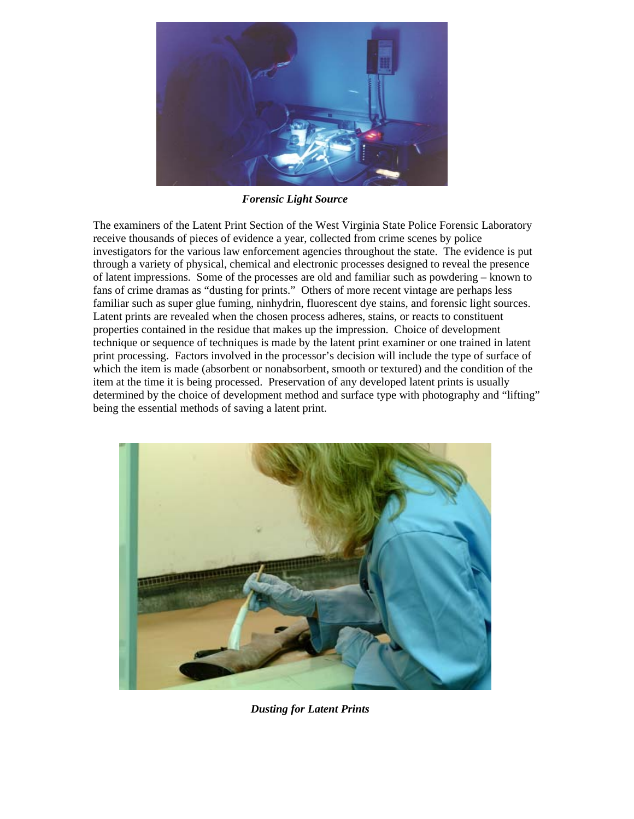

*Forensic Light Source* 

The examiners of the Latent Print Section of the West Virginia State Police Forensic Laboratory receive thousands of pieces of evidence a year, collected from crime scenes by police investigators for the various law enforcement agencies throughout the state. The evidence is put through a variety of physical, chemical and electronic processes designed to reveal the presence of latent impressions. Some of the processes are old and familiar such as powdering – known to fans of crime dramas as "dusting for prints." Others of more recent vintage are perhaps less familiar such as super glue fuming, ninhydrin, fluorescent dye stains, and forensic light sources. Latent prints are revealed when the chosen process adheres, stains, or reacts to constituent properties contained in the residue that makes up the impression. Choice of development technique or sequence of techniques is made by the latent print examiner or one trained in latent print processing. Factors involved in the processor's decision will include the type of surface of which the item is made (absorbent or nonabsorbent, smooth or textured) and the condition of the item at the time it is being processed. Preservation of any developed latent prints is usually determined by the choice of development method and surface type with photography and "lifting" being the essential methods of saving a latent print.



*Dusting for Latent Prints*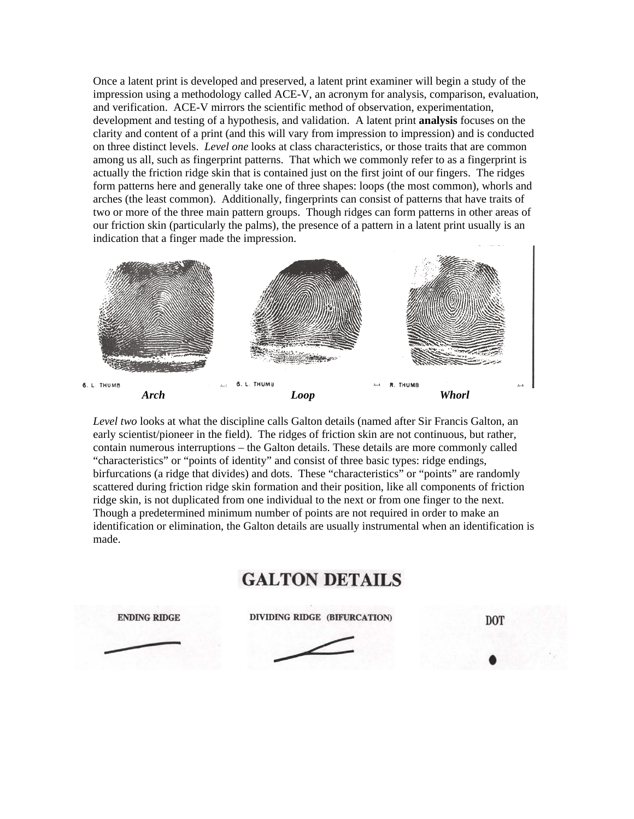Once a latent print is developed and preserved, a latent print examiner will begin a study of the impression using a methodology called ACE-V, an acronym for analysis, comparison, evaluation, and verification. ACE-V mirrors the scientific method of observation, experimentation, development and testing of a hypothesis, and validation. A latent print **analysis** focuses on the clarity and content of a print (and this will vary from impression to impression) and is conducted on three distinct levels. *Level one* looks at class characteristics, or those traits that are common among us all, such as fingerprint patterns. That which we commonly refer to as a fingerprint is actually the friction ridge skin that is contained just on the first joint of our fingers. The ridges form patterns here and generally take one of three shapes: loops (the most common), whorls and arches (the least common). Additionally, fingerprints can consist of patterns that have traits of two or more of the three main pattern groups. Though ridges can form patterns in other areas of our friction skin (particularly the palms), the presence of a pattern in a latent print usually is an indication that a finger made the impression.



*Level two* looks at what the discipline calls Galton details (named after Sir Francis Galton, an early scientist/pioneer in the field). The ridges of friction skin are not continuous, but rather, contain numerous interruptions – the Galton details. These details are more commonly called "characteristics" or "points of identity" and consist of three basic types: ridge endings, birfurcations (a ridge that divides) and dots. These "characteristics" or "points" are randomly scattered during friction ridge skin formation and their position, like all components of friction ridge skin, is not duplicated from one individual to the next or from one finger to the next. Though a predetermined minimum number of points are not required in order to make an identification or elimination, the Galton details are usually instrumental when an identification is made.

## **GALTON DETAILS**

**ENDING RIDGE DIVIDING RIDGE (BIFURCATION)** 

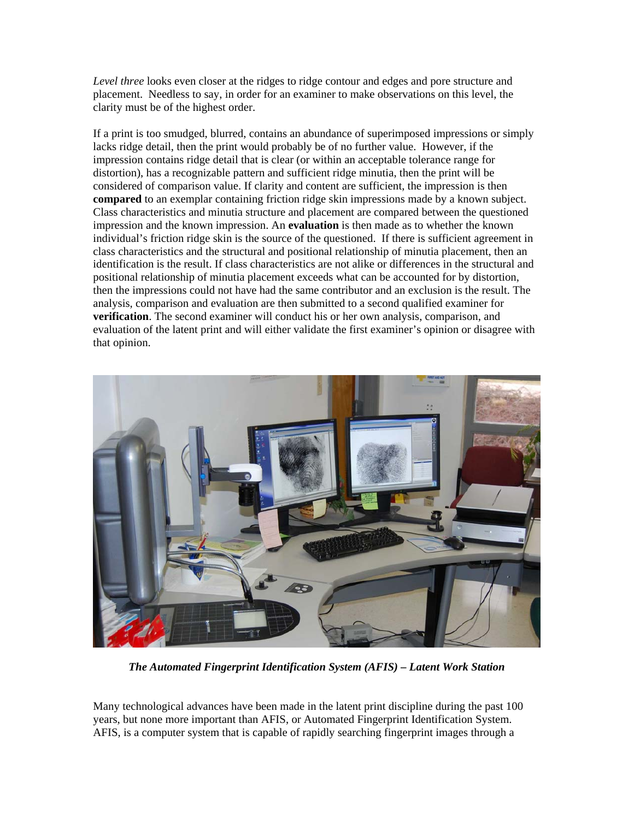*Level three* looks even closer at the ridges to ridge contour and edges and pore structure and placement. Needless to say, in order for an examiner to make observations on this level, the clarity must be of the highest order.

If a print is too smudged, blurred, contains an abundance of superimposed impressions or simply lacks ridge detail, then the print would probably be of no further value. However, if the impression contains ridge detail that is clear (or within an acceptable tolerance range for distortion), has a recognizable pattern and sufficient ridge minutia, then the print will be considered of comparison value. If clarity and content are sufficient, the impression is then **compared** to an exemplar containing friction ridge skin impressions made by a known subject. Class characteristics and minutia structure and placement are compared between the questioned impression and the known impression. An **evaluation** is then made as to whether the known individual's friction ridge skin is the source of the questioned. If there is sufficient agreement in class characteristics and the structural and positional relationship of minutia placement, then an identification is the result. If class characteristics are not alike or differences in the structural and positional relationship of minutia placement exceeds what can be accounted for by distortion, then the impressions could not have had the same contributor and an exclusion is the result. The analysis, comparison and evaluation are then submitted to a second qualified examiner for **verification**. The second examiner will conduct his or her own analysis, comparison, and evaluation of the latent print and will either validate the first examiner's opinion or disagree with that opinion.



*The Automated Fingerprint Identification System (AFIS) – Latent Work Station*

Many technological advances have been made in the latent print discipline during the past 100 years, but none more important than AFIS, or Automated Fingerprint Identification System. AFIS, is a computer system that is capable of rapidly searching fingerprint images through a